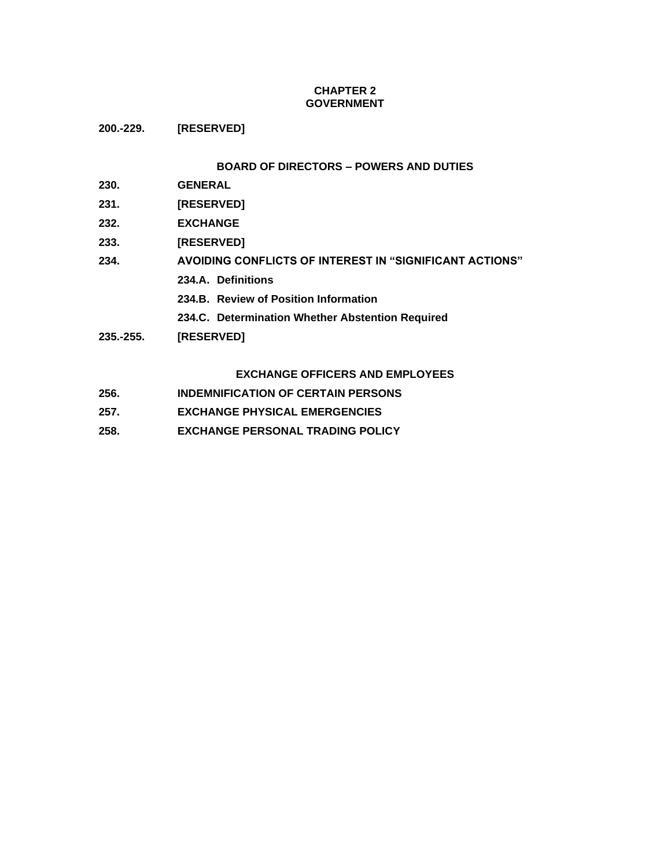# **CHAPTER 2 GOVERNMENT**

**200.-229. [RESERVED]**

# **BOARD OF DIRECTORS – POWERS AND DUTIES**

- **230. GENERAL**
- **231. [RESERVED]**
- **232. EXCHANGE**
- **233. [RESERVED]**
- **234. AVOIDING CONFLICTS OF INTEREST IN "SIGNIFICANT ACTIONS"**
	- **234.A. Definitions**
	- **234.B. Review of Position Information**
	- **234.C. Determination Whether Abstention Required**
- **235.-255. [RESERVED]**

# **EXCHANGE OFFICERS AND EMPLOYEES**

- **256. INDEMNIFICATION OF CERTAIN PERSONS**
- **257. EXCHANGE PHYSICAL EMERGENCIES**
- **258. EXCHANGE PERSONAL TRADING POLICY**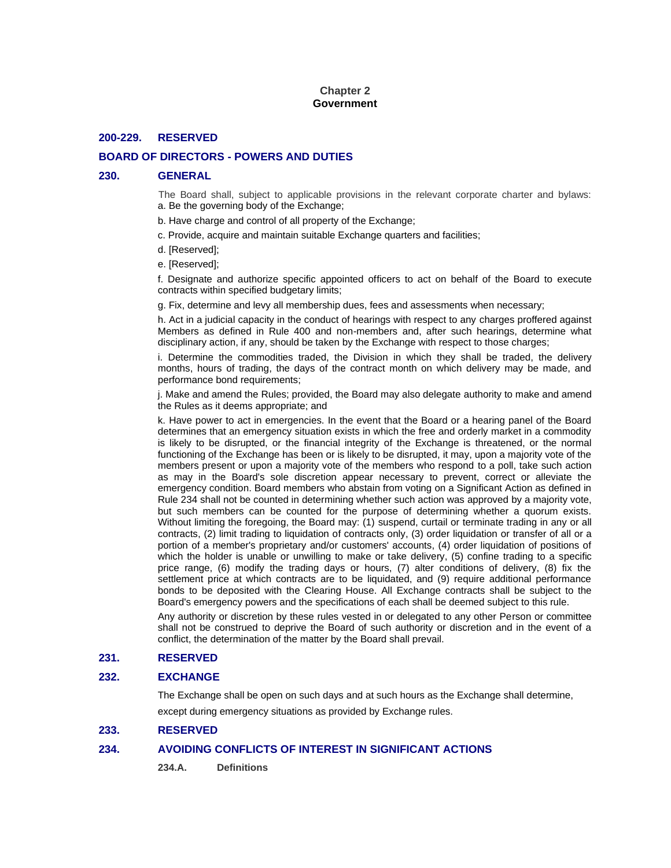## **Chapter 2 Government**

### **200-229. RESERVED**

# **BOARD OF DIRECTORS - POWERS AND DUTIES**

#### **230. GENERAL**

The Board shall, subject to applicable provisions in the relevant corporate charter and bylaws: a. Be the governing body of the Exchange;

- b. Have charge and control of all property of the Exchange;
- c. Provide, acquire and maintain suitable Exchange quarters and facilities;
- d. [Reserved];
- e. [Reserved];

f. Designate and authorize specific appointed officers to act on behalf of the Board to execute contracts within specified budgetary limits;

g. Fix, determine and levy all membership dues, fees and assessments when necessary;

h. Act in a judicial capacity in the conduct of hearings with respect to any charges proffered against Members as defined in Rule 400 and non-members and, after such hearings, determine what disciplinary action, if any, should be taken by the Exchange with respect to those charges;

i. Determine the commodities traded, the Division in which they shall be traded, the delivery months, hours of trading, the days of the contract month on which delivery may be made, and performance bond requirements;

j. Make and amend the Rules; provided, the Board may also delegate authority to make and amend the Rules as it deems appropriate; and

k. Have power to act in emergencies. In the event that the Board or a hearing panel of the Board determines that an emergency situation exists in which the free and orderly market in a commodity is likely to be disrupted, or the financial integrity of the Exchange is threatened, or the normal functioning of the Exchange has been or is likely to be disrupted, it may, upon a majority vote of the members present or upon a majority vote of the members who respond to a poll, take such action as may in the Board's sole discretion appear necessary to prevent, correct or alleviate the emergency condition. Board members who abstain from voting on a Significant Action as defined in Rule 234 shall not be counted in determining whether such action was approved by a majority vote, but such members can be counted for the purpose of determining whether a quorum exists. Without limiting the foregoing, the Board may: (1) suspend, curtail or terminate trading in any or all contracts, (2) limit trading to liquidation of contracts only, (3) order liquidation or transfer of all or a portion of a member's proprietary and/or customers' accounts, (4) order liquidation of positions of which the holder is unable or unwilling to make or take delivery, (5) confine trading to a specific price range, (6) modify the trading days or hours, (7) alter conditions of delivery, (8) fix the settlement price at which contracts are to be liquidated, and (9) require additional performance bonds to be deposited with the Clearing House. All Exchange contracts shall be subject to the Board's emergency powers and the specifications of each shall be deemed subject to this rule.

Any authority or discretion by these rules vested in or delegated to any other Person or committee shall not be construed to deprive the Board of such authority or discretion and in the event of a conflict, the determination of the matter by the Board shall prevail.

### **231. RESERVED**

### **232. EXCHANGE**

The Exchange shall be open on such days and at such hours as the Exchange shall determine,

except during emergency situations as provided by Exchange rules.

## **233. RESERVED**

# **234. AVOIDING CONFLICTS OF INTEREST IN SIGNIFICANT ACTIONS**

**234.A. Definitions**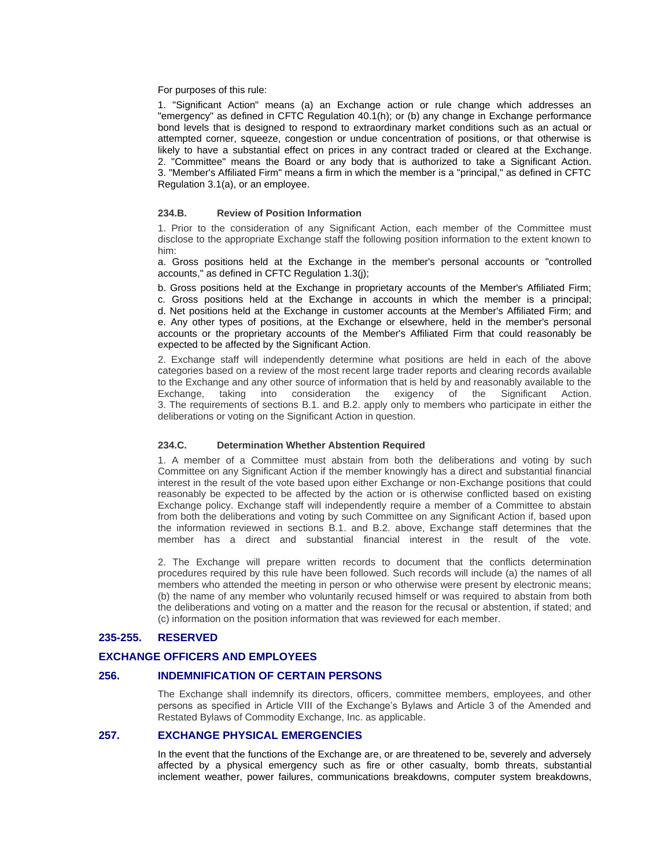### For purposes of this rule:

1. "Significant Action" means (a) an Exchange action or rule change which addresses an "emergency" as defined in CFTC Regulation 40.1(h); or (b) any change in Exchange performance bond levels that is designed to respond to extraordinary market conditions such as an actual or attempted corner, squeeze, congestion or undue concentration of positions, or that otherwise is likely to have a substantial effect on prices in any contract traded or cleared at the Exchange. 2. "Committee" means the Board or any body that is authorized to take a Significant Action. 3. "Member's Affiliated Firm" means a firm in which the member is a "principal," as defined in CFTC Regulation 3.1(a), or an employee.

#### **234.B. Review of Position Information**

1. Prior to the consideration of any Significant Action, each member of the Committee must disclose to the appropriate Exchange staff the following position information to the extent known to him:

a. Gross positions held at the Exchange in the member's personal accounts or "controlled accounts," as defined in CFTC Regulation 1.3(j);

b. Gross positions held at the Exchange in proprietary accounts of the Member's Affiliated Firm; c. Gross positions held at the Exchange in accounts in which the member is a principal; d. Net positions held at the Exchange in customer accounts at the Member's Affiliated Firm; and e. Any other types of positions, at the Exchange or elsewhere, held in the member's personal accounts or the proprietary accounts of the Member's Affiliated Firm that could reasonably be expected to be affected by the Significant Action.

2. Exchange staff will independently determine what positions are held in each of the above categories based on a review of the most recent large trader reports and clearing records available to the Exchange and any other source of information that is held by and reasonably available to the Exchange, taking into consideration the exigency of the Significant Action. 3. The requirements of sections B.1. and B.2. apply only to members who participate in either the deliberations or voting on the Significant Action in question.

### **234.C. Determination Whether Abstention Required**

1. A member of a Committee must abstain from both the deliberations and voting by such Committee on any Significant Action if the member knowingly has a direct and substantial financial interest in the result of the vote based upon either Exchange or non-Exchange positions that could reasonably be expected to be affected by the action or is otherwise conflicted based on existing Exchange policy. Exchange staff will independently require a member of a Committee to abstain from both the deliberations and voting by such Committee on any Significant Action if, based upon the information reviewed in sections B.1. and B.2. above, Exchange staff determines that the member has a direct and substantial financial interest in the result of the vote.

2. The Exchange will prepare written records to document that the conflicts determination procedures required by this rule have been followed. Such records will include (a) the names of all members who attended the meeting in person or who otherwise were present by electronic means; (b) the name of any member who voluntarily recused himself or was required to abstain from both the deliberations and voting on a matter and the reason for the recusal or abstention, if stated; and (c) information on the position information that was reviewed for each member.

### **235-255. RESERVED**

#### **EXCHANGE OFFICERS AND EMPLOYEES**

# **256. INDEMNIFICATION OF CERTAIN PERSONS**

The Exchange shall indemnify its directors, officers, committee members, employees, and other persons as specified in Article VIII of the Exchange's Bylaws and Article 3 of the Amended and Restated Bylaws of Commodity Exchange, Inc. as applicable.

### **257. EXCHANGE PHYSICAL EMERGENCIES**

In the event that the functions of the Exchange are, or are threatened to be, severely and adversely affected by a physical emergency such as fire or other casualty, bomb threats, substantial inclement weather, power failures, communications breakdowns, computer system breakdowns,